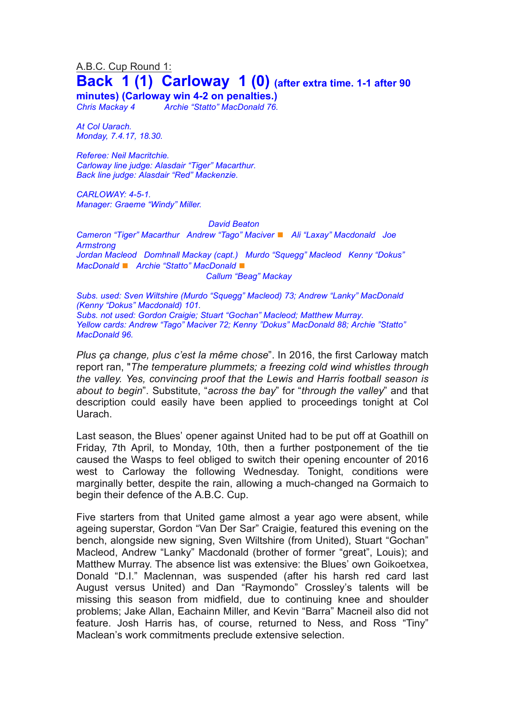# A.B.C. Cup Round 1: **Back 1 (1) Carloway 1 (0) (after extra time. 1-1 after <sup>90</sup>**

**minutes) (Carloway win 4-2 on penalties.)**

*Chris Mackay 4 Archie "Statto" MacDonald 76.*

*At Col Uarach. Monday, 7.4.17, 18.30.*

*Referee: Neil Macritchie. Carloway line judge: Alasdair "Tiger" Macarthur. Back line judge: Alasdair "Red" Mackenzie.*

*CARLOWAY: 4-5-1. Manager: Graeme "Windy" Miller.*

*David Beaton*

*Cameron "Tiger" Macarthur Andrew "Tago" Maciver* ◼ *Ali "Laxay" Macdonald Joe Armstrong Jordan Macleod Domhnall Mackay (capt.) Murdo "Squegg" Macleod Kenny "Dokus" MacDonald* ◼ *Archie "Statto" MacDonald* ◼ *Callum "Beag" Mackay*

*Subs. used: Sven Wiltshire (Murdo "Squegg" Macleod) 73; Andrew "Lanky" MacDonald (Kenny "Dokus" Macdonald) 101. Subs. not used: Gordon Craigie; Stuart "Gochan" Macleod; Matthew Murray. Yellow cards: Andrew "Tago" Maciver 72; Kenny "Dokus" MacDonald 88; Archie "Statto" MacDonald 96.*

*Plus ça change, plus c'est la même chose*". In 2016, the first Carloway match report ran, "*The temperature plummets; a freezing cold wind whistles through the valley. Yes, convincing proof that the Lewis and Harris football season is about to begin*". Substitute, "*across the bay*" for "*through the valley*" and that description could easily have been applied to proceedings tonight at Col Uarach.

Last season, the Blues' opener against United had to be put off at Goathill on Friday, 7th April, to Monday, 10th, then a further postponement of the tie caused the Wasps to feel obliged to switch their opening encounter of 2016 west to Carloway the following Wednesday. Tonight, conditions were marginally better, despite the rain, allowing a much-changed na Gormaich to begin their defence of the A.B.C. Cup.

Five starters from that United game almost a year ago were absent, while ageing superstar, Gordon "Van Der Sar" Craigie, featured this evening on the bench, alongside new signing, Sven Wiltshire (from United), Stuart "Gochan" Macleod, Andrew "Lanky" Macdonald (brother of former "great", Louis); and Matthew Murray. The absence list was extensive: the Blues' own Goikoetxea, Donald "D.I." Maclennan, was suspended (after his harsh red card last August versus United) and Dan "Raymondo" Crossley's talents will be missing this season from midfield, due to continuing knee and shoulder problems; Jake Allan, Eachainn Miller, and Kevin "Barra" Macneil also did not feature. Josh Harris has, of course, returned to Ness, and Ross "Tiny" Maclean's work commitments preclude extensive selection.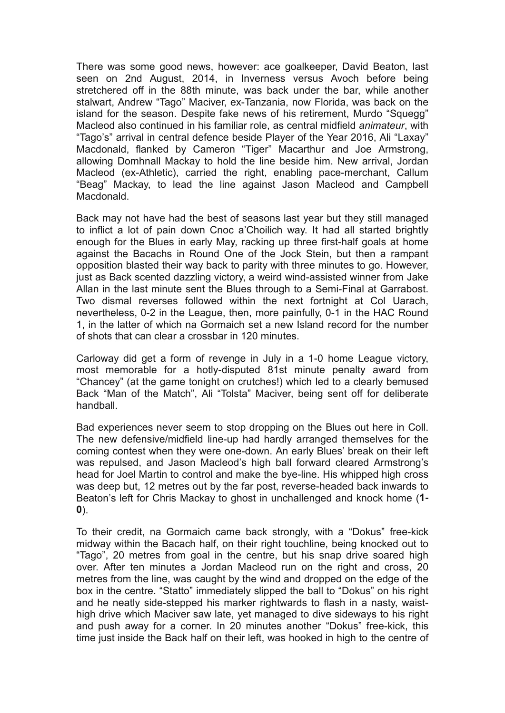There was some good news, however: ace goalkeeper, David Beaton, last seen on 2nd August, 2014, in Inverness versus Avoch before being stretchered off in the 88th minute, was back under the bar, while another stalwart, Andrew "Tago" Maciver, ex-Tanzania, now Florida, was back on the island for the season. Despite fake news of his retirement, Murdo "Squegg" Macleod also continued in his familiar role, as central midfield *animateur*, with "Tago's" arrival in central defence beside Player of the Year 2016, Ali "Laxay" Macdonald, flanked by Cameron "Tiger" Macarthur and Joe Armstrong, allowing Domhnall Mackay to hold the line beside him. New arrival, Jordan Macleod (ex-Athletic), carried the right, enabling pace-merchant, Callum "Beag" Mackay, to lead the line against Jason Macleod and Campbell Macdonald.

Back may not have had the best of seasons last year but they still managed to inflict a lot of pain down Cnoc a'Choilich way. It had all started brightly enough for the Blues in early May, racking up three first-half goals at home against the Bacachs in Round One of the Jock Stein, but then a rampant opposition blasted their way back to parity with three minutes to go. However, just as Back scented dazzling victory, a weird wind-assisted winner from Jake Allan in the last minute sent the Blues through to a Semi-Final at Garrabost. Two dismal reverses followed within the next fortnight at Col Uarach, nevertheless, 0-2 in the League, then, more painfully, 0-1 in the HAC Round 1, in the latter of which na Gormaich set a new Island record for the number of shots that can clear a crossbar in 120 minutes.

Carloway did get a form of revenge in July in a 1-0 home League victory, most memorable for a hotly-disputed 81st minute penalty award from "Chancey" (at the game tonight on crutches!) which led to a clearly bemused Back "Man of the Match", Ali "Tolsta" Maciver, being sent off for deliberate handball.

Bad experiences never seem to stop dropping on the Blues out here in Coll. The new defensive/midfield line-up had hardly arranged themselves for the coming contest when they were one-down. An early Blues' break on their left was repulsed, and Jason Macleod's high ball forward cleared Armstrong's head for Joel Martin to control and make the bye-line. His whipped high cross was deep but, 12 metres out by the far post, reverse-headed back inwards to Beaton's left for Chris Mackay to ghost in unchallenged and knock home (**1- 0**).

To their credit, na Gormaich came back strongly, with a "Dokus" free-kick midway within the Bacach half, on their right touchline, being knocked out to "Tago", 20 metres from goal in the centre, but his snap drive soared high over. After ten minutes a Jordan Macleod run on the right and cross, 20 metres from the line, was caught by the wind and dropped on the edge of the box in the centre. "Statto" immediately slipped the ball to "Dokus" on his right and he neatly side-stepped his marker rightwards to flash in a nasty, waisthigh drive which Maciver saw late, yet managed to dive sideways to his right and push away for a corner. In 20 minutes another "Dokus" free-kick, this time just inside the Back half on their left, was hooked in high to the centre of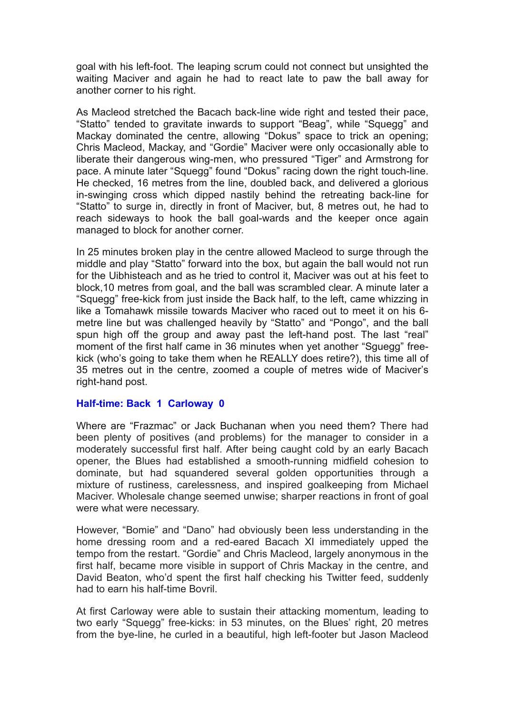goal with his left-foot. The leaping scrum could not connect but unsighted the waiting Maciver and again he had to react late to paw the ball away for another corner to his right.

As Macleod stretched the Bacach back-line wide right and tested their pace, "Statto" tended to gravitate inwards to support "Beag", while "Squegg" and Mackay dominated the centre, allowing "Dokus" space to trick an opening; Chris Macleod, Mackay, and "Gordie" Maciver were only occasionally able to liberate their dangerous wing-men, who pressured "Tiger" and Armstrong for pace. A minute later "Squegg" found "Dokus" racing down the right touch-line. He checked, 16 metres from the line, doubled back, and delivered a glorious in-swinging cross which dipped nastily behind the retreating back-line for "Statto" to surge in, directly in front of Maciver, but, 8 metres out, he had to reach sideways to hook the ball goal-wards and the keeper once again managed to block for another corner.

In 25 minutes broken play in the centre allowed Macleod to surge through the middle and play "Statto" forward into the box, but again the ball would not run for the Uibhisteach and as he tried to control it, Maciver was out at his feet to block,10 metres from goal, and the ball was scrambled clear. A minute later a "Squegg" free-kick from just inside the Back half, to the left, came whizzing in like a Tomahawk missile towards Maciver who raced out to meet it on his 6 metre line but was challenged heavily by "Statto" and "Pongo", and the ball spun high off the group and away past the left-hand post. The last "real" moment of the first half came in 36 minutes when yet another "Sguegg" freekick (who's going to take them when he REALLY does retire?), this time all of 35 metres out in the centre, zoomed a couple of metres wide of Maciver's right-hand post.

### **Half-time: Back 1 Carloway 0**

Where are "Frazmac" or Jack Buchanan when you need them? There had been plenty of positives (and problems) for the manager to consider in a moderately successful first half. After being caught cold by an early Bacach opener, the Blues had established a smooth-running midfield cohesion to dominate, but had squandered several golden opportunities through a mixture of rustiness, carelessness, and inspired goalkeeping from Michael Maciver. Wholesale change seemed unwise; sharper reactions in front of goal were what were necessary.

However, "Bomie" and "Dano" had obviously been less understanding in the home dressing room and a red-eared Bacach XI immediately upped the tempo from the restart. "Gordie" and Chris Macleod, largely anonymous in the first half, became more visible in support of Chris Mackay in the centre, and David Beaton, who'd spent the first half checking his Twitter feed, suddenly had to earn his half-time Bovril.

At first Carloway were able to sustain their attacking momentum, leading to two early "Squegg" free-kicks: in 53 minutes, on the Blues' right, 20 metres from the bye-line, he curled in a beautiful, high left-footer but Jason Macleod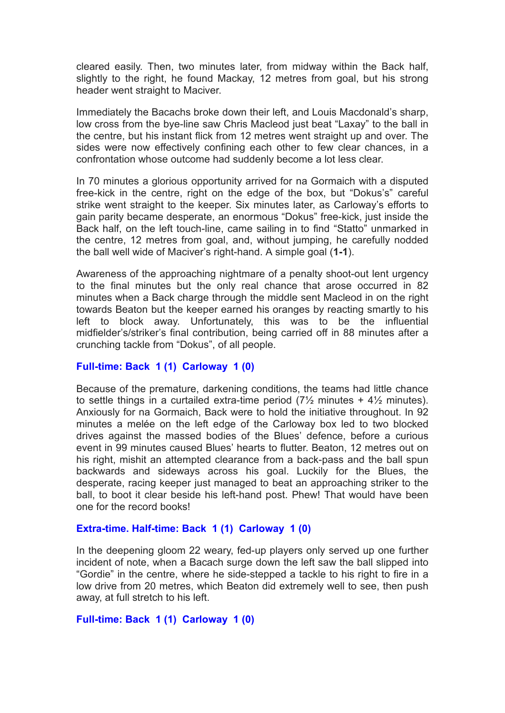cleared easily. Then, two minutes later, from midway within the Back half, slightly to the right, he found Mackay, 12 metres from goal, but his strong header went straight to Maciver.

Immediately the Bacachs broke down their left, and Louis Macdonald's sharp, low cross from the bye-line saw Chris Macleod just beat "Laxay" to the ball in the centre, but his instant flick from 12 metres went straight up and over. The sides were now effectively confining each other to few clear chances, in a confrontation whose outcome had suddenly become a lot less clear.

In 70 minutes a glorious opportunity arrived for na Gormaich with a disputed free-kick in the centre, right on the edge of the box, but "Dokus's" careful strike went straight to the keeper. Six minutes later, as Carloway's efforts to gain parity became desperate, an enormous "Dokus" free-kick, just inside the Back half, on the left touch-line, came sailing in to find "Statto" unmarked in the centre, 12 metres from goal, and, without jumping, he carefully nodded the ball well wide of Maciver's right-hand. A simple goal (**1-1**).

Awareness of the approaching nightmare of a penalty shoot-out lent urgency to the final minutes but the only real chance that arose occurred in 82 minutes when a Back charge through the middle sent Macleod in on the right towards Beaton but the keeper earned his oranges by reacting smartly to his left to block away. Unfortunately, this was to be the influential midfielder's/striker's final contribution, being carried off in 88 minutes after a crunching tackle from "Dokus", of all people.

### **Full-time: Back 1 (1) Carloway 1 (0)**

Because of the premature, darkening conditions, the teams had little chance to settle things in a curtailed extra-time period  $(7\frac{1}{2})$  minutes +  $4\frac{1}{2}$  minutes). Anxiously for na Gormaich, Back were to hold the initiative throughout. In 92 minutes a melée on the left edge of the Carloway box led to two blocked drives against the massed bodies of the Blues' defence, before a curious event in 99 minutes caused Blues' hearts to flutter. Beaton, 12 metres out on his right, mishit an attempted clearance from a back-pass and the ball spun backwards and sideways across his goal. Luckily for the Blues, the desperate, racing keeper just managed to beat an approaching striker to the ball, to boot it clear beside his left-hand post. Phew! That would have been one for the record books!

### **Extra-time. Half-time: Back 1 (1) Carloway 1 (0)**

In the deepening gloom 22 weary, fed-up players only served up one further incident of note, when a Bacach surge down the left saw the ball slipped into "Gordie" in the centre, where he side-stepped a tackle to his right to fire in a low drive from 20 metres, which Beaton did extremely well to see, then push away, at full stretch to his left.

#### **Full-time: Back 1 (1) Carloway 1 (0)**